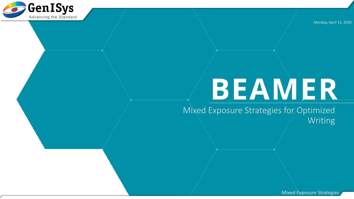

Monday, April 13, 2020

# BEAMER

Mixed Exposure Strategies for Optimized Writing

Mixed Exposure Strategies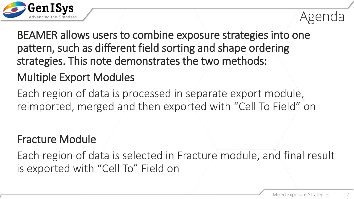

BEAMER allows users to combine exposure strategies into one pattern, such as different field sorting and shape ordering strategies. This note demonstrates the two methods:

#### Multiple Export Modules

Each region of data is processed in separate export module, reimported, merged and then exported with "Cell To Field" on

#### Fracture Module

Each region of data is selected in Fracture module, and final result is exported with "Cell To" Field on

Agenda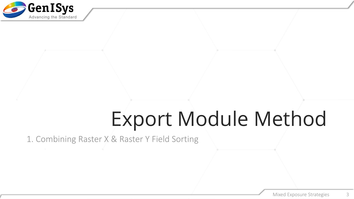

## Export Module Method

1. Combining Raster X & Raster Y Field Sorting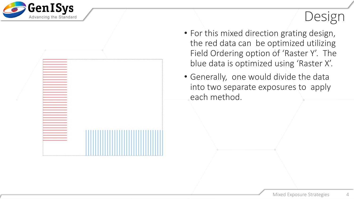



- For this mixed direction grating design, the red data can be optimized utilizing Field Ordering option of 'Raster Y'. The blue data is optimized using 'Raster X'.
- Generally, one would divide the data into two separate exposures to apply each method.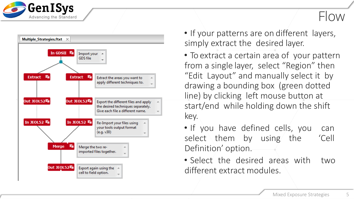



- If your patterns are on different layers, simply extract the desired layer.
- To extract a certain area of your pattern from a single layer, select "Region" then "Edit Layout" and manually select it by drawing a bounding box (green dotted line) by clicking left mouse button at start/end while holding down the shift key.
- If you have defined cells, you can select them by using the 'Cell Definition' option .
- Select the desired areas with two different extract modules .

5

Flow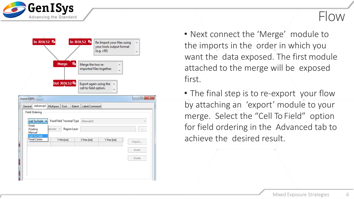



#### Flow

- Next connect the 'Merge' module to the imports in the order in which you want the data exposed. The first module attached to the merge will be exposed first.
- The final step is to re-export your flow by attaching an 'export' module to your merge. Select the "Cell To Field" option for field ordering in the Advanced tab to achieve the desired result.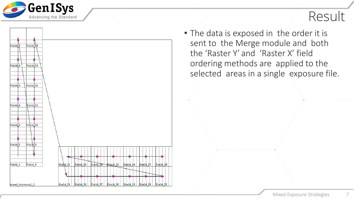

#### Result

• The data is exposed in the order it is sent to the Merge module and both the 'Raster Y' and 'Raster X' field ordering methods are applied to the selected areas in a single exposure file.

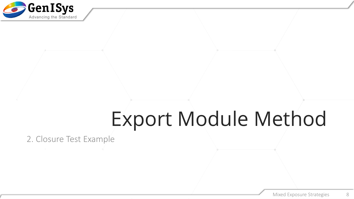

# Export Module Method

2. Closure Test Example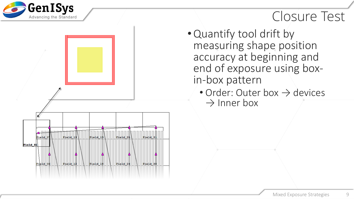

ield.

Field 06

**Field 32** 

Field 13

Field 12

 $Field 19$ 

Field 18

Field 25

Field 24

Field 3

Field 3

#### Closure Test

- •Quantify tool drift by measuring shape position accuracy at beginning and end of exposure using box- in-box pattern
	- Order: Outer box  $\rightarrow$  devices  $\rightarrow$  Inner box

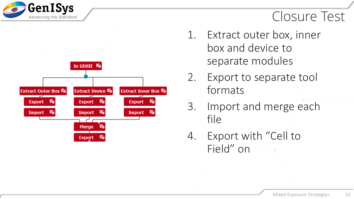

**Extract Outer Box Fu** 

**Export** 

**Import** 

In GDSII <sup>Fo</sup>

**Export** 

**Import** 

Merge

**Export** 

**Extract Device Fu** 

T.

**Extract Inner Box Fo** 

**Export** 

**Import** 

#### Closure Test

- 1. Extract outer box, inner box and device to separate modules
- 2. Export to separate tool formats
- 3. Import and merge each file
- 4. Export with "Cell to Field" on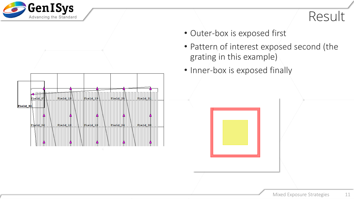



- Outer-box is exposed first
- Pattern of interest exposed second (the grating in this example)
- Inner-box is exposed finally

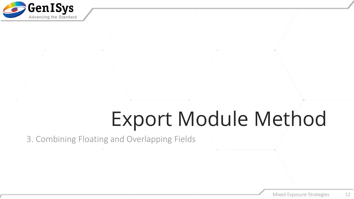

# Export Module Method

3. Combining Floating and Overlapping Fields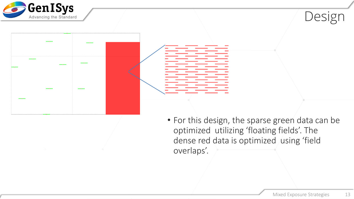





• For this design, the sparse green data can be optimized utilizing 'floating fields'. The dense red data is optimized using 'field overlaps'.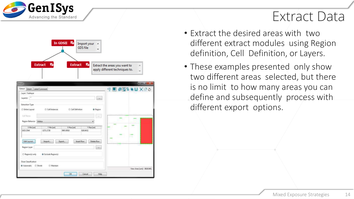

#### Extract Data

In GDSII **Form** Import your **GDS** file Extract **Fu** Extract **Full** Extract the areas you want to apply different techniques to.

| Extract                         |                   |                 |                                 |               | $-12 - 2$                               |
|---------------------------------|-------------------|-----------------|---------------------------------|---------------|-----------------------------------------|
| Extract<br>Extent Label/Comment |                   |                 |                                 |               | 使用 甲酸生素因 火油の                            |
| Layer / Sublayer                |                   |                 |                                 |               |                                         |
| $Layer(s)$ $*$                  |                   |                 | $\mu\mu$                        |               |                                         |
| <b>Extraction Type</b>          |                   |                 |                                 |               |                                         |
| Entire Layout                   | Cell Instances    | Cell Definition | W Region                        |               |                                         |
| Cell Name                       |                   |                 | $\sim$                          |               | 원들의 사고 다음 상화된 차를 제공되어 있는 것이 없으면 안 좋다고 있 |
| Region Behavior                 | Within            |                 | ٠                               |               |                                         |
| X Min [um]                      | Y Min [um]        | X Max [um]      | Y' Max [um]                     |               |                                         |
| 1925.3544                       | $-3271.1726$      | 3993.0918       | 826,8432                        |               |                                         |
|                                 |                   |                 |                                 |               |                                         |
| Edit Layout                     | import            | Export          | Delete Row<br><b>Insert Row</b> |               |                                         |
| Region Layer                    |                   |                 | Cian-                           | <b>Common</b> |                                         |
| Region(s) only                  | Exclude Region(s) |                 |                                 |               |                                         |
| Dose Classification             |                   |                 |                                 |               |                                         |
|                                 | <b>Maintain</b>   |                 |                                 |               |                                         |
| Automatic: Shrink               |                   |                 |                                 |               |                                         |

- Extract the desired areas with two different extract modules using Region definition, Cell Definition, or Layers.
- These examples presented only show two different areas selected, but there is no limit to how many areas you can define and subsequently process with different export options.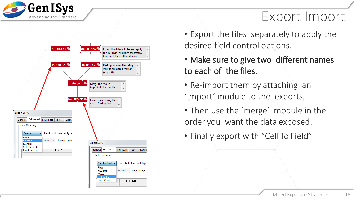

### Export Import

- **Out JEOL52 Out JEOL52** Export the different files and apply the desired techniques separately. Give each file a different name **In JEOL52 局** In JEOL52 Re-Import your files using your tools output format  $(e.q. v30)$ Merge Merge the two reimported files together. Out JEOL52 Export again using the cell to field option. **Export EBPG** General Advanced Multipass Tool Extent **Field Ordering** Floating **Fixed Field Traversal Type** Fixed **Region Layer** Floatino ainder **Export EBPG** Manual Cell To Field General Advanced Multipass Tool Extent **Fixed Center** Y Min [um] **Field Ordering** 
	- **Fixed Field Traversal Type** Cell To Field Fixed hainder Region Layer Floating Manual Cell To Field **Fixed Center** Y Min [um]
- Export the files separately to apply the desired field control options.
- Make sure to give two different names to each of the files.
- Re-import them by attaching an 'Import' module to the exports.
- Then use the 'merge' module in the order you want the data exposed.
- Finally export with "Cell To Field"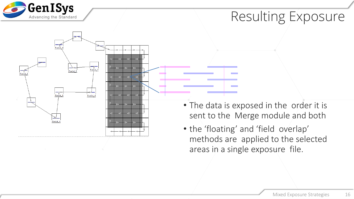

### Resulting Exposure

- $r_{\text{field}}$ T ⊿<br>Field 7 Field 8  $\frac{1}{2}$  Field  $\frac{1}{2}$  Field 5 .<br>Field 6 Field
	- The data is exposed in the order it is sent to the Merge module and both
	- the 'floating' and 'field overlap' methods are applied to the selected areas in a single exposure file.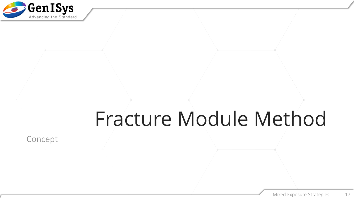

### Fracture Module Method

Concept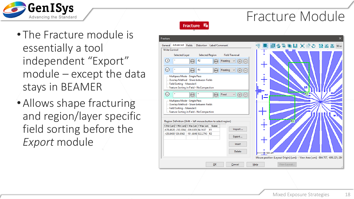

Fracture Module

Fracture **Fi** 

- The Fracture module is essentially a tool independent "Export" module – except the data stays in BEAMER
- Allows shape fracturing and region/layer specific field sorting before the *Export* module

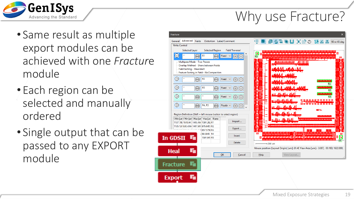

#### Why use Fracture?

- Same result as multiple export modules can be achieved with one *Fractur*e module
- Each region can be selected and manually ordered
- Single output that can be passed to any EXPORT module

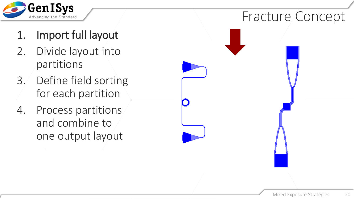

- 1. Import full layout
- 2. Divide layout into partitions
- 3. Define field sorting for each partition
- 4. Process partitions and combine to one output layout

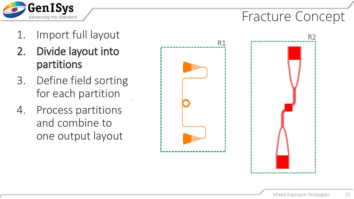

#### Fracture Concept

- 1. Import full layout
- 2. Divide layout into partitions
- 3. Define field sorting for each partition
- 4. Process partitions and combine to one output layout



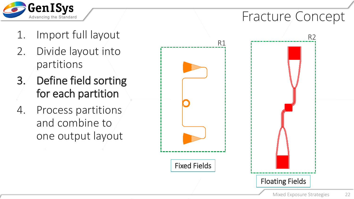

#### Fracture Concept

R2

- 1. Import full layout
- 2. Divide layout into partitions
- 3. Define field sorting for each partition
- 4. Process partitions and combine to one output layout

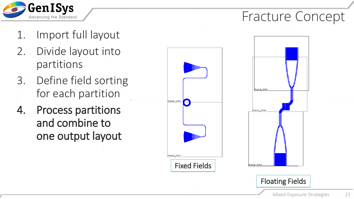

### Fracture Concept

- 1. Import full layout
- 2. Divide layout into partitions
- 3. Define field sorting for each partition
- 4. Process partitions and combine to one output layout



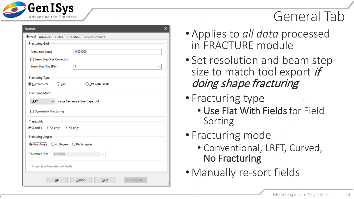

#### General Tab

| Fracture<br>×                                                                                                            |  |  |  |  |  |  |  |  |  |
|--------------------------------------------------------------------------------------------------------------------------|--|--|--|--|--|--|--|--|--|
| General<br>Advanced Fields<br>Distortion Label/Comment                                                                   |  |  |  |  |  |  |  |  |  |
| <b>Fracturing Grid</b>                                                                                                   |  |  |  |  |  |  |  |  |  |
| 0.001000<br>Resolution [um]                                                                                              |  |  |  |  |  |  |  |  |  |
| Beam Step Size Correction                                                                                                |  |  |  |  |  |  |  |  |  |
| 1<br>Beam Step Size [Res]<br>$\check{ }$                                                                                 |  |  |  |  |  |  |  |  |  |
| <b>Fracturing Type</b>                                                                                                   |  |  |  |  |  |  |  |  |  |
| <b>O</b> Hierarchical<br>$\bigcirc$ Elat<br>$\bigcirc$ Elat with Fields                                                  |  |  |  |  |  |  |  |  |  |
| <b>Fracturing Mode</b><br>Large Rectangle Fine Trapezoid<br><b>LRFT</b><br>✓<br>Symmetric Fracturing                     |  |  |  |  |  |  |  |  |  |
| <b>Trapezoids</b><br>$\circledcirc$ $\underline{X}$ and Y<br>$\bigcirc \underline{X}$ only $\bigcirc \underline{Y}$ only |  |  |  |  |  |  |  |  |  |
| <b>Fracturing Angles</b>                                                                                                 |  |  |  |  |  |  |  |  |  |
| <b>Mny Angle</b><br>○ 45 Degree<br>◯ Rectangular                                                                         |  |  |  |  |  |  |  |  |  |
| Tolerance [Res]<br>1.000000                                                                                              |  |  |  |  |  |  |  |  |  |
| Interactive Re-sorting of Fields                                                                                         |  |  |  |  |  |  |  |  |  |
| QK<br>Cancel<br>View Layout<br>He                                                                                        |  |  |  |  |  |  |  |  |  |

- Applies to *all data* processed in FRACTURE module
- Set resolution and beam step size to match tool export *if* doing shape fracturing
- Fracturing type
	- Use Flat With Fields for Field Sorting
- Fracturing mode
	- Conventional, LRFT, Curved, No Fracturing
- Manually re -sort fields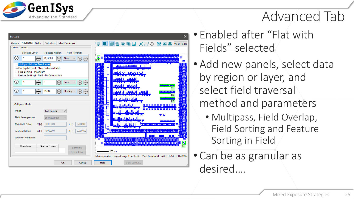

#### Advanced Tab

| Fracture                                                                                                                                                                                                                                                                                                                                                                                                                                                                                  | ×                                                                                                                                                                                                           |
|-------------------------------------------------------------------------------------------------------------------------------------------------------------------------------------------------------------------------------------------------------------------------------------------------------------------------------------------------------------------------------------------------------------------------------------------------------------------------------------------|-------------------------------------------------------------------------------------------------------------------------------------------------------------------------------------------------------------|
| Advanced<br>Fields<br>General<br>Distortion   Label/Comment<br><b>Write Control</b>                                                                                                                                                                                                                                                                                                                                                                                                       | ■좋草■∐ XGO 晒짐짐<br>澳国土<br>90 or 45 deg                                                                                                                                                                        |
| <b>Selected Region</b><br><b>Field Traversal</b><br><b>Selected Layer</b><br>$\odot$<br>R1, R2, R3<br>$\widehat{(\cdots)}$<br>$\left( \cdots \right)$<br>Fixed<br>$^{(+)}$<br>Multipass Mode - Two Passes<br>Overlap Method - Share between Fields<br>Field Sorting - MeanderX<br>Feature Sorting in Field - NoCompaction<br>$\odot$<br>$\odot$<br>Fixed<br>$\boldsymbol{(\cdot\cdot\cdot)}$<br>$\pm$<br>$\odot$<br>R4, R5<br>$\widehat{(\cdots)}$<br>Floatinc v<br>$\left(\cdots\right)$ | Ŧ.<br>أكالمتعاذلة فالخافات انشاد الأندان<br>R <sub>5</sub><br>55 F F<br>n bu<br>÷<br>15 TO 77<br>R1<br>---<br>R <sub>2</sub><br><u>an al-Alberta Alba</u><br>R <sub>3</sub>                                 |
| Multipass Mode<br>Mode<br><b>Two Passes</b><br><b>Field Arrangement</b><br><b>Shortest Path</b>                                                                                                                                                                                                                                                                                                                                                                                           | <u>ar t-Ukubbabba</u><br><u>.</u><br><b>DARD RETT</b><br><u> Martin san San Tagan da Banda</u><br><mark>┆</mark> ѡ <mark>୲<sub>┉</sub>୷╣┇╫┆┩╠╌┈╣</mark> ┋┯┯<br><b>NET 1:</b><br>□<br><u>արժիս ժեղժերը ժ</u> |
| 0.000000<br>0.000000<br>Mainfield Offset<br>$X[-]$<br>$Y[-]$<br>0.000000<br>0.000000<br>Subfield Offset<br>$X[-]$<br>$Y[-]$                                                                                                                                                                                                                                                                                                                                                               | <u>البرالي را الي روا الي رو</u><br>h <del>keynitititin merutit</del> i                                                                                                                                     |
| Layer for Multipass                                                                                                                                                                                                                                                                                                                                                                                                                                                                       | -42<br>-454<br>,,,,,,,,,,,,,,,,,,,,,,,,,,,,,,<br>,,,,,,,,,,,<br>E<br>الجنزاب مزاجعة تزياد مزاحمة بجنزاب مزاحية ليتكرمز إحماره كالخشار متراحية يوينز يوم                                                     |
| Number Passes<br>Dose larger<br>InsertRow<br>Delete Row                                                                                                                                                                                                                                                                                                                                                                                                                                   | R4<br>$-1200$ um<br>Mouse position (Layout Origin) [um]: 7.674 View Area [um]: -3.087, -125.611; 1622.000)                                                                                                  |
| OK<br>Cancel                                                                                                                                                                                                                                                                                                                                                                                                                                                                              | Help<br>View Layout                                                                                                                                                                                         |

- Enabled after "Flat with Fields" selected
- Add new panels, select data by region or layer, and select field traversal method and parameters
	- Multipass, Field Overlap, Field Sorting and Feature Sorting in Field
- Can be as granular as desired….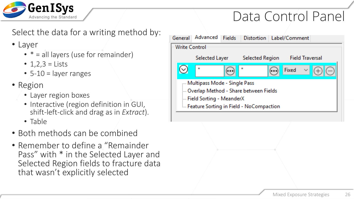

#### Data Control Panel

Select the data for a writing method by:

#### • Layer

- $* =$ all layers (use for remainder)
- $1,2,3 =$  Lists
- $\cdot$  5-10 = layer ranges
- Region
	- Layer region boxes
	- Interactive (region definition in GUI, shift-left-click and drag as in *Extract*).
	- Table
- Both methods can be combined
- Remember to define a "Remainder Pass" with \* in the Selected Layer and Selected Region fields to fracture data that wasn't explicitly selected

| General              | Advanced                                                                                               | Fields | Distortion   Label/Comment                       |  |       |                        |  |  |
|----------------------|--------------------------------------------------------------------------------------------------------|--------|--------------------------------------------------|--|-------|------------------------|--|--|
| <b>Write Control</b> |                                                                                                        |        |                                                  |  |       |                        |  |  |
|                      | Selected Layer                                                                                         |        | <b>Selected Region</b>                           |  |       | <b>Field Traversal</b> |  |  |
|                      | 大                                                                                                      |        | ÷                                                |  | Fixed | $\gamma_{\rm{tot}}$    |  |  |
|                      | Multipass Mode - Single Pass<br>Merlap Method - Share between Fields -<br>Field Sorting - MeanderX !!! |        |                                                  |  |       |                        |  |  |
|                      |                                                                                                        |        | <b>Example 2</b> Sorting in Field - NoCompaction |  |       |                        |  |  |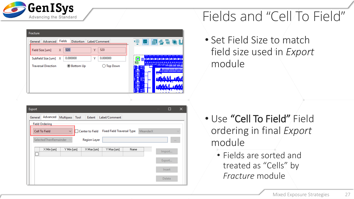

| Fracture                                                                                                                                                                                                                  |                                                                                                                         |
|---------------------------------------------------------------------------------------------------------------------------------------------------------------------------------------------------------------------------|-------------------------------------------------------------------------------------------------------------------------|
| Fields<br>General Advanced<br>Distortion Label/Comment<br>520<br>520<br>Field Size [um]<br>x<br>γ<br>0.000000<br>0.000000<br>Y<br>Subfield Size [um]<br>х<br>◉ Bottom Up<br><b>Top Down</b><br><b>Traversal Direction</b> | <b>同间多言唱U</b><br>嚜<br><u>a shumbo a shumbo shi na ne</u> a<br>Ł<br>R <sub>5</sub><br><b>TIME</b><br><u>اداک ۱۹۰۹ می</u> |

| Export                |                   |                        |                                   |      |          | $\sim$ | $\Box$     | $\times$ |
|-----------------------|-------------------|------------------------|-----------------------------------|------|----------|--------|------------|----------|
| Advanced<br>General   | Multipass<br>Tool | Extent                 | Label/Comment                     |      |          |        |            |          |
| <b>Field Ordering</b> |                   |                        |                                   |      |          |        |            |          |
| Cell To Field         | v                 | <b>Center to Field</b> | <b>Fixed Field Traversal Type</b> |      | MeanderX |        |            | $\sim$   |
| SelectedThenRemainder |                   | <b>Region Layer</b>    |                                   |      |          |        | <b>EEE</b> |          |
| $\times$ Min [um]     | Y Min [um]        | X Max [um]             | Y Max [um]                        | Name |          |        |            |          |
|                       |                   |                        |                                   |      |          |        | Import     |          |
|                       |                   |                        |                                   |      |          |        | Export     |          |
|                       |                   |                        |                                   |      |          |        | Insert     |          |
|                       |                   |                        |                                   |      |          |        | Delete     |          |

### Fields and "Cell To Field"

• Set Field Size to match field size used in *Export*  module

- Use "Cell To Field" Field ordering in final *Export*  module
	- Fields are sorted and treated as "Cells" by *Fracture* module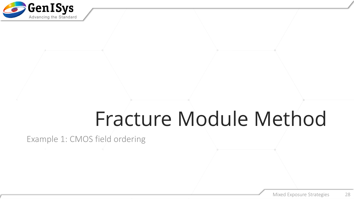

### Fracture Module Method

Example 1: CMOS field ordering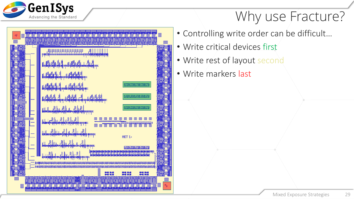

#### Why use Fracture?



- Controlling write order can be difficult…
- Write critical devices first
- Write rest of layout second
- Write markers last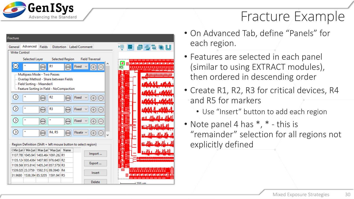

#### Fracture Example



- On Advanced Tab, define "Panels" for each region.
- Features are selected in each panel (similar to using EXTRACT modules), then ordered in descending order
- Create R1, R2, R3 for critical devices, R4 and R5 for markers
	- Use "Insert" button to add each region
- Note panel 4 has  $*$ ,  $*$  this is "remainder" selection for all regions not explicitly defined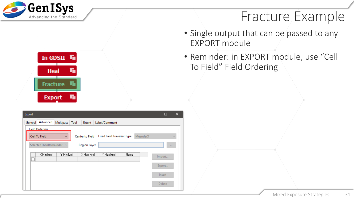

#### Fracture Example

- Single output that can be passed to any EXPORT module
- Reminder: in EXPORT module, use "Cell To Field" Field Ordering



| Export  |                       |            |      |                        |                                   |      |          | $\sim$ | $\Box$   | × |
|---------|-----------------------|------------|------|------------------------|-----------------------------------|------|----------|--------|----------|---|
| General | Advanced              | Multipass  | Tool | Extent                 | Label/Comment                     |      |          |        |          |   |
|         | <b>Field Ordering</b> |            |      |                        |                                   |      |          |        |          |   |
|         | Cell To Field         | $\sim$     |      | <b>Center to Field</b> | <b>Fixed Field Traversal Type</b> |      | MeanderX |        |          |   |
|         | SelectedThenRemainder |            |      | <b>Region Layer</b>    |                                   |      |          |        | $1.1\,1$ |   |
|         | $\times$ Min [um]     | Y Min [um] |      | X Max [um]             | Y Max [um]                        | Name |          |        | Import   |   |
|         |                       |            |      |                        |                                   |      |          |        |          |   |
|         |                       |            |      |                        |                                   |      |          |        | Export   |   |
|         |                       |            |      |                        |                                   |      |          |        | Insert   |   |
|         |                       |            |      |                        |                                   |      |          |        | Delete   |   |
|         |                       |            |      |                        |                                   |      |          |        |          |   |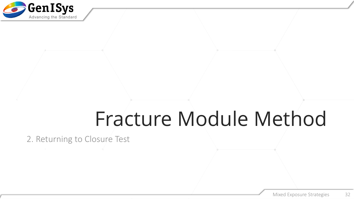

### Fracture Module Method

2. Returning to Closure Test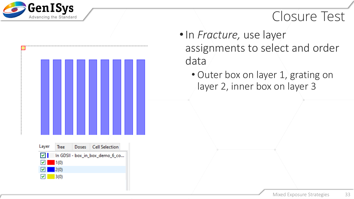

#### Closure Test

- •In *Fracture,* use layer assignments to select and order data
	- Outer box on layer 1, grating on layer 2, inner box on layer 3

**Cell Selection** Layer Doses **Tree** ाज In GDSII - box\_in\_box\_demo\_6\_co...  $1(0)$  $2(0)$  $3(0)$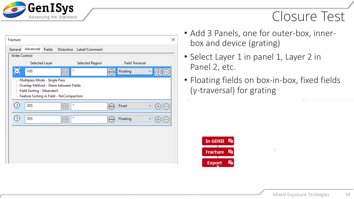

#### Closure Test

| Fracture             |                                                                                                                                                |               |                                                                      |                          |    |                        | × |
|----------------------|------------------------------------------------------------------------------------------------------------------------------------------------|---------------|----------------------------------------------------------------------|--------------------------|----|------------------------|---|
| General              | Advanced                                                                                                                                       | <b>Fields</b> |                                                                      | Distortion Label/Comment |    |                        |   |
| <b>Write Control</b> |                                                                                                                                                |               |                                                                      |                          |    |                        |   |
|                      | Selected Layer                                                                                                                                 |               |                                                                      | <b>Selected Region</b>   |    | <b>Field Traversal</b> |   |
| $\odot$              | 1(0)                                                                                                                                           |               | $\star$                                                              |                          |    | Floating               |   |
|                      | Multipass Mode - Single Pass<br>Overlap Method - Share between Fields<br>Field Sorting - MeanderX<br>- Feature Sorting in Field - NoCompaction |               |                                                                      |                          |    |                        |   |
| $\odot$              | 2(0)                                                                                                                                           |               | *<br>$(a + b)$                                                       |                          | (. | Fixed                  | W |
| $\odot$              | 3(0)                                                                                                                                           |               | $\star$<br>$\begin{pmatrix} 0 & 0 & 0 \\ 0 & 0 & 0 \\ \end{pmatrix}$ |                          |    | Floating               |   |
|                      |                                                                                                                                                |               |                                                                      |                          |    |                        |   |
|                      |                                                                                                                                                |               |                                                                      |                          |    |                        |   |
|                      |                                                                                                                                                |               |                                                                      |                          |    |                        |   |
|                      |                                                                                                                                                |               |                                                                      |                          |    |                        |   |

- Add 3 Panels, one for outer-box, innerbox and device (grating)
- Select Layer 1 in panel 1, Layer 2 in Panel 2, etc.
- Floating fields on box-in-box, fixed fields (y-traversal) for grating

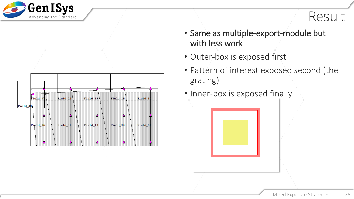



- Same as multiple-export-module but with less work
- Outer-box is exposed first
- Pattern of interest exposed second (the grating)
- Inner-box is exposed finally